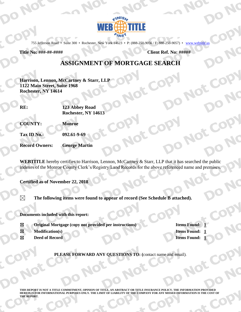

755 Jefferson Road • Suite 300 • Rochester, New York 14623 • P: (888-250-9056 / F: 888-250-9057) • www.webtitle.us

Title No: ###-##-####

Client Ref. No: #####

## **ASSIGNMENT OF MORTGAGE SEARCH**

Harrison, Lennon, McCartney & Starr, LLP 1122 Main Street, Suite 1968 Rochester, NY 14614

| RE: | 123 Abbey Road      |
|-----|---------------------|
|     | Rochester, NY 14613 |

**COUNTY:** 

**Monroe** 

Tax ID No.:

092.61-9-69

**Record Owners: George Martin** 

**WEBTITLE** hereby certifies to Harrison, Lennon, McCartney & Starr, LLP that it has searched the public indexes of the Monroe County Clerk's/Registry/Land Records for the above referenced name and premises.

**Certified as of November 22, 2018** 

 $\boxtimes$ 

The following items were found to appear of record (See Schedule B attached).

Documents included with this report:

- Ø Original Mortgage (copy not provided per instructions)
- ⊠ **Modification(s)**
- ⊠ Deed of Record

**Items Found: 1 Items Found: 1 Items Found: 1** 

PLEASE FORWARD ANY QUESTIONS TO: (contact name and email).

THIS REPORT IS NOT A TITLE COMMITMENT, OPINION OF TITLE, AN ABSTRACT OR TITLE INSURANCE POLICY. THE INFORMATION PROVIDED HEREIN IS FOR INFORMATIONAL PURPOSES ONLY. THE LIMIT OF LIABILITY OF THE COMPANY FOR ANY MISSED INFORMATION IS THE COST OF THE REPORT.